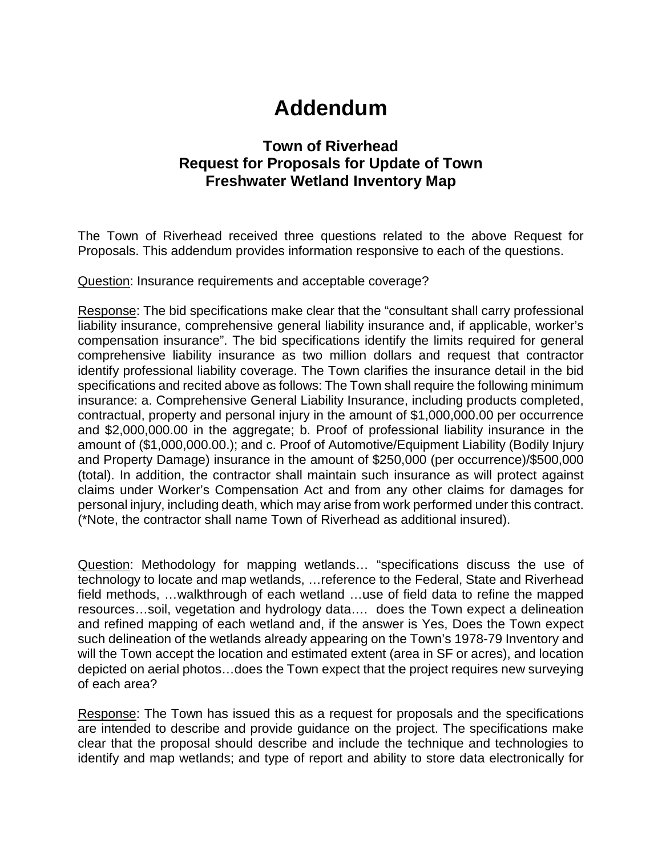## **Addendum**

## **Town of Riverhead Request for Proposals for Update of Town Freshwater Wetland Inventory Map**

The Town of Riverhead received three questions related to the above Request for Proposals. This addendum provides information responsive to each of the questions.

Question: Insurance requirements and acceptable coverage?

Response: The bid specifications make clear that the "consultant shall carry professional liability insurance, comprehensive general liability insurance and, if applicable, worker's compensation insurance". The bid specifications identify the limits required for general comprehensive liability insurance as two million dollars and request that contractor identify professional liability coverage. The Town clarifies the insurance detail in the bid specifications and recited above as follows: The Town shall require the following minimum insurance: a. Comprehensive General Liability Insurance, including products completed, contractual, property and personal injury in the amount of \$1,000,000.00 per occurrence and \$2,000,000.00 in the aggregate; b. Proof of professional liability insurance in the amount of (\$1,000,000.00.); and c. Proof of Automotive/Equipment Liability (Bodily Injury and Property Damage) insurance in the amount of \$250,000 (per occurrence)/\$500,000 (total). In addition, the contractor shall maintain such insurance as will protect against claims under Worker's Compensation Act and from any other claims for damages for personal injury, including death, which may arise from work performed under this contract. (\*Note, the contractor shall name Town of Riverhead as additional insured).

Question: Methodology for mapping wetlands... "specifications discuss the use of technology to locate and map wetlands, …reference to the Federal, State and Riverhead field methods, …walkthrough of each wetland …use of field data to refine the mapped resources…soil, vegetation and hydrology data…. does the Town expect a delineation and refined mapping of each wetland and, if the answer is Yes, Does the Town expect such delineation of the wetlands already appearing on the Town's 1978-79 Inventory and will the Town accept the location and estimated extent (area in SF or acres), and location depicted on aerial photos…does the Town expect that the project requires new surveying of each area?

Response: The Town has issued this as a request for proposals and the specifications are intended to describe and provide guidance on the project. The specifications make clear that the proposal should describe and include the technique and technologies to identify and map wetlands; and type of report and ability to store data electronically for